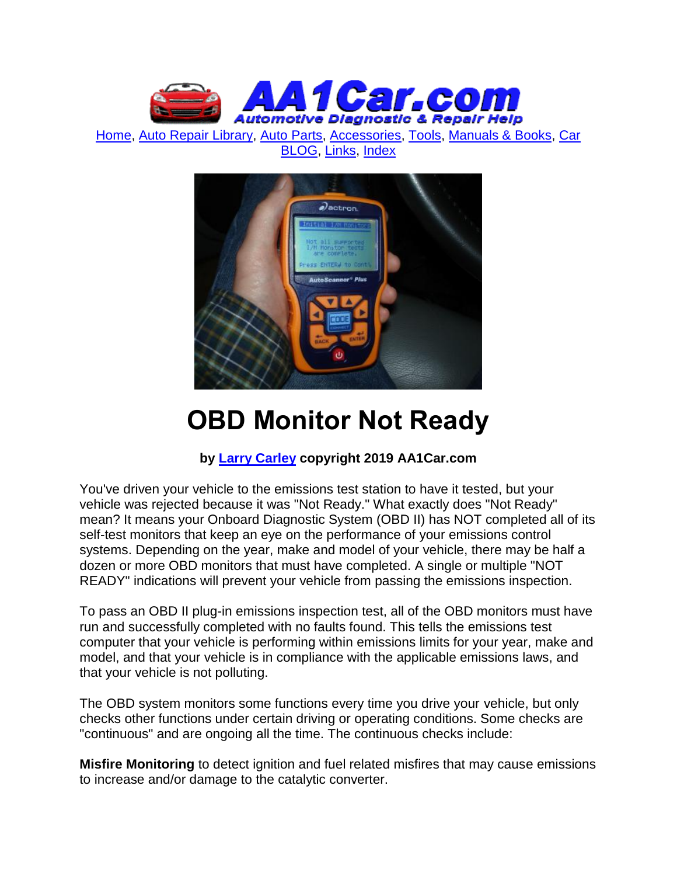

[Home,](http://www.aa1car.com/) [Auto Repair Library,](http://www.aa1car.com/library.htm) [Auto Parts,](http://www.aa1car.com/links_parts.htm) [Accessories,](http://www.aa1car.com/links_accessories.htm) [Tools,](http://www.aa1car.com/links_tools.htm) [Manuals & Books,](http://www.aa1car.com/links_books.htm) [Car](http://www.aa1car.com/blog/blog.htm)  [BLOG,](http://www.aa1car.com/blog/blog.htm) [Links,](http://www.aa1car.com/links.htm) [Index](http://www.aa1car.com/index_alphabetical.htm)



# **OBD Monitor Not Ready**

#### **by [Larry Carley](https://www.aa1car.com/larrypage/larrycarley_photos.htm) copyright 2019 AA1Car.com**

You've driven your vehicle to the emissions test station to have it tested, but your vehicle was rejected because it was "Not Ready." What exactly does "Not Ready" mean? It means your Onboard Diagnostic System (OBD II) has NOT completed all of its self-test monitors that keep an eye on the performance of your emissions control systems. Depending on the year, make and model of your vehicle, there may be half a dozen or more OBD monitors that must have completed. A single or multiple "NOT READY" indications will prevent your vehicle from passing the emissions inspection.

To pass an OBD II plug-in emissions inspection test, all of the OBD monitors must have run and successfully completed with no faults found. This tells the emissions test computer that your vehicle is performing within emissions limits for your year, make and model, and that your vehicle is in compliance with the applicable emissions laws, and that your vehicle is not polluting.

The OBD system monitors some functions every time you drive your vehicle, but only checks other functions under certain driving or operating conditions. Some checks are "continuous" and are ongoing all the time. The continuous checks include:

**Misfire Monitoring** to detect ignition and fuel related misfires that may cause emissions to increase and/or damage to the catalytic converter.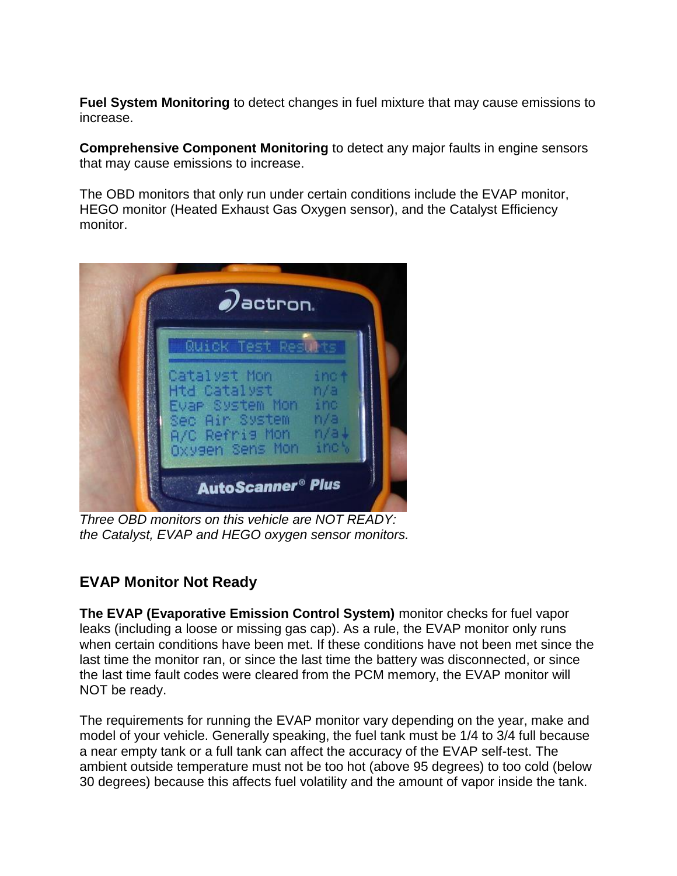**Fuel System Monitoring** to detect changes in fuel mixture that may cause emissions to increase.

**Comprehensive Component Monitoring** to detect any major faults in engine sensors that may cause emissions to increase.

The OBD monitors that only run under certain conditions include the EVAP monitor, HEGO monitor (Heated Exhaust Gas Oxygen sensor), and the Catalyst Efficiency monitor.



*Three OBD monitors on this vehicle are NOT READY: the Catalyst, EVAP and HEGO oxygen sensor monitors.*

# **EVAP Monitor Not Ready**

**The EVAP (Evaporative Emission Control System)** monitor checks for fuel vapor leaks (including a loose or missing gas cap). As a rule, the EVAP monitor only runs when certain conditions have been met. If these conditions have not been met since the last time the monitor ran, or since the last time the battery was disconnected, or since the last time fault codes were cleared from the PCM memory, the EVAP monitor will NOT be ready.

The requirements for running the EVAP monitor vary depending on the year, make and model of your vehicle. Generally speaking, the fuel tank must be 1/4 to 3/4 full because a near empty tank or a full tank can affect the accuracy of the EVAP self-test. The ambient outside temperature must not be too hot (above 95 degrees) to too cold (below 30 degrees) because this affects fuel volatility and the amount of vapor inside the tank.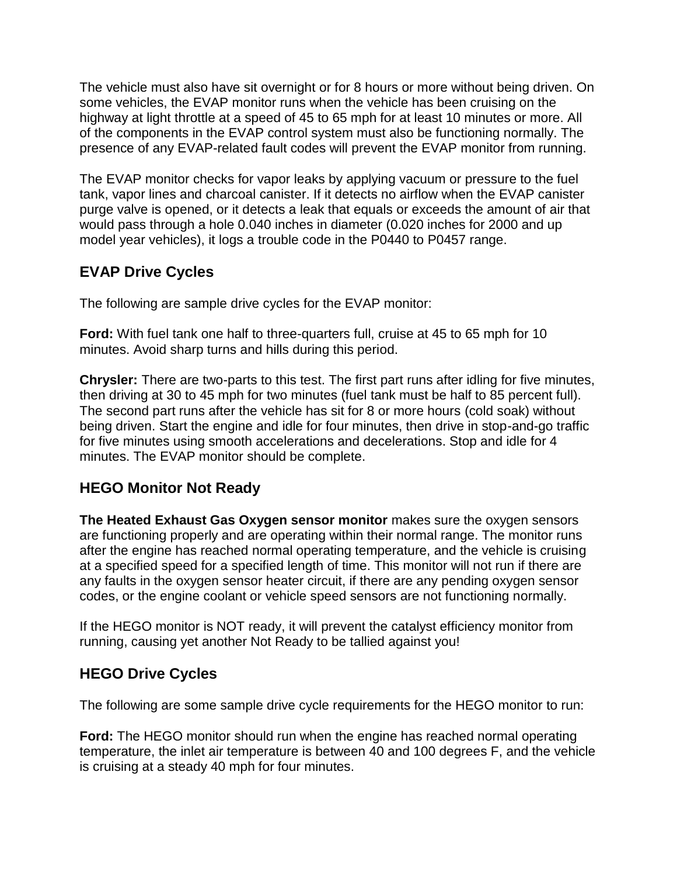The vehicle must also have sit overnight or for 8 hours or more without being driven. On some vehicles, the EVAP monitor runs when the vehicle has been cruising on the highway at light throttle at a speed of 45 to 65 mph for at least 10 minutes or more. All of the components in the EVAP control system must also be functioning normally. The presence of any EVAP-related fault codes will prevent the EVAP monitor from running.

The EVAP monitor checks for vapor leaks by applying vacuum or pressure to the fuel tank, vapor lines and charcoal canister. If it detects no airflow when the EVAP canister purge valve is opened, or it detects a leak that equals or exceeds the amount of air that would pass through a hole 0.040 inches in diameter (0.020 inches for 2000 and up model year vehicles), it logs a trouble code in the P0440 to P0457 range.

## **EVAP Drive Cycles**

The following are sample drive cycles for the EVAP monitor:

**Ford:** With fuel tank one half to three-quarters full, cruise at 45 to 65 mph for 10 minutes. Avoid sharp turns and hills during this period.

**Chrysler:** There are two-parts to this test. The first part runs after idling for five minutes, then driving at 30 to 45 mph for two minutes (fuel tank must be half to 85 percent full). The second part runs after the vehicle has sit for 8 or more hours (cold soak) without being driven. Start the engine and idle for four minutes, then drive in stop-and-go traffic for five minutes using smooth accelerations and decelerations. Stop and idle for 4 minutes. The EVAP monitor should be complete.

## **HEGO Monitor Not Ready**

**The Heated Exhaust Gas Oxygen sensor monitor** makes sure the oxygen sensors are functioning properly and are operating within their normal range. The monitor runs after the engine has reached normal operating temperature, and the vehicle is cruising at a specified speed for a specified length of time. This monitor will not run if there are any faults in the oxygen sensor heater circuit, if there are any pending oxygen sensor codes, or the engine coolant or vehicle speed sensors are not functioning normally.

If the HEGO monitor is NOT ready, it will prevent the catalyst efficiency monitor from running, causing yet another Not Ready to be tallied against you!

## **HEGO Drive Cycles**

The following are some sample drive cycle requirements for the HEGO monitor to run:

**Ford:** The HEGO monitor should run when the engine has reached normal operating temperature, the inlet air temperature is between 40 and 100 degrees F, and the vehicle is cruising at a steady 40 mph for four minutes.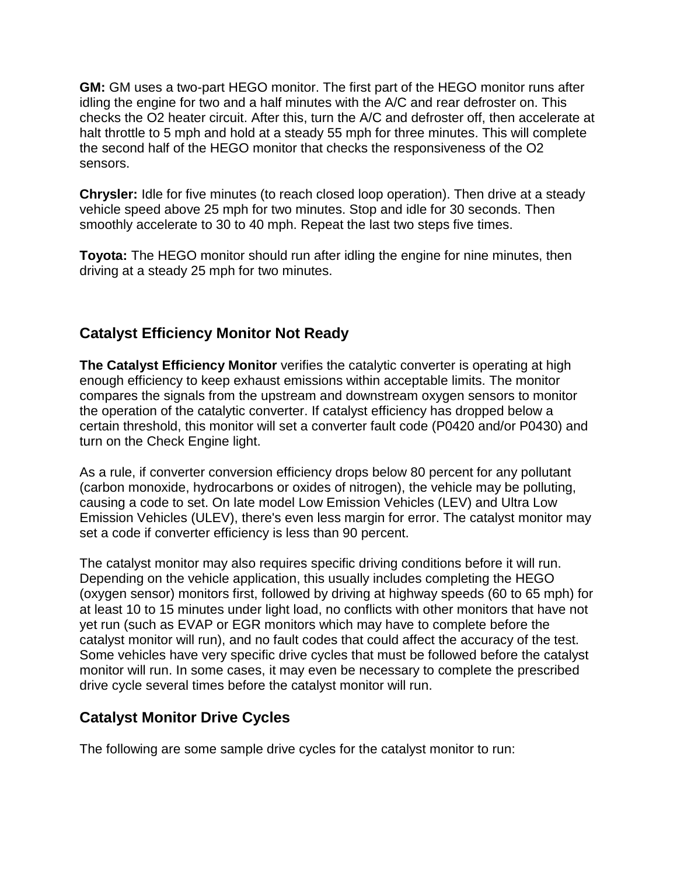**GM:** GM uses a two-part HEGO monitor. The first part of the HEGO monitor runs after idling the engine for two and a half minutes with the A/C and rear defroster on. This checks the O2 heater circuit. After this, turn the A/C and defroster off, then accelerate at halt throttle to 5 mph and hold at a steady 55 mph for three minutes. This will complete the second half of the HEGO monitor that checks the responsiveness of the O2 sensors.

**Chrysler:** Idle for five minutes (to reach closed loop operation). Then drive at a steady vehicle speed above 25 mph for two minutes. Stop and idle for 30 seconds. Then smoothly accelerate to 30 to 40 mph. Repeat the last two steps five times.

**Toyota:** The HEGO monitor should run after idling the engine for nine minutes, then driving at a steady 25 mph for two minutes.

## **Catalyst Efficiency Monitor Not Ready**

**The Catalyst Efficiency Monitor** verifies the catalytic converter is operating at high enough efficiency to keep exhaust emissions within acceptable limits. The monitor compares the signals from the upstream and downstream oxygen sensors to monitor the operation of the catalytic converter. If catalyst efficiency has dropped below a certain threshold, this monitor will set a converter fault code (P0420 and/or P0430) and turn on the Check Engine light.

As a rule, if converter conversion efficiency drops below 80 percent for any pollutant (carbon monoxide, hydrocarbons or oxides of nitrogen), the vehicle may be polluting, causing a code to set. On late model Low Emission Vehicles (LEV) and Ultra Low Emission Vehicles (ULEV), there's even less margin for error. The catalyst monitor may set a code if converter efficiency is less than 90 percent.

The catalyst monitor may also requires specific driving conditions before it will run. Depending on the vehicle application, this usually includes completing the HEGO (oxygen sensor) monitors first, followed by driving at highway speeds (60 to 65 mph) for at least 10 to 15 minutes under light load, no conflicts with other monitors that have not yet run (such as EVAP or EGR monitors which may have to complete before the catalyst monitor will run), and no fault codes that could affect the accuracy of the test. Some vehicles have very specific drive cycles that must be followed before the catalyst monitor will run. In some cases, it may even be necessary to complete the prescribed drive cycle several times before the catalyst monitor will run.

## **Catalyst Monitor Drive Cycles**

The following are some sample drive cycles for the catalyst monitor to run: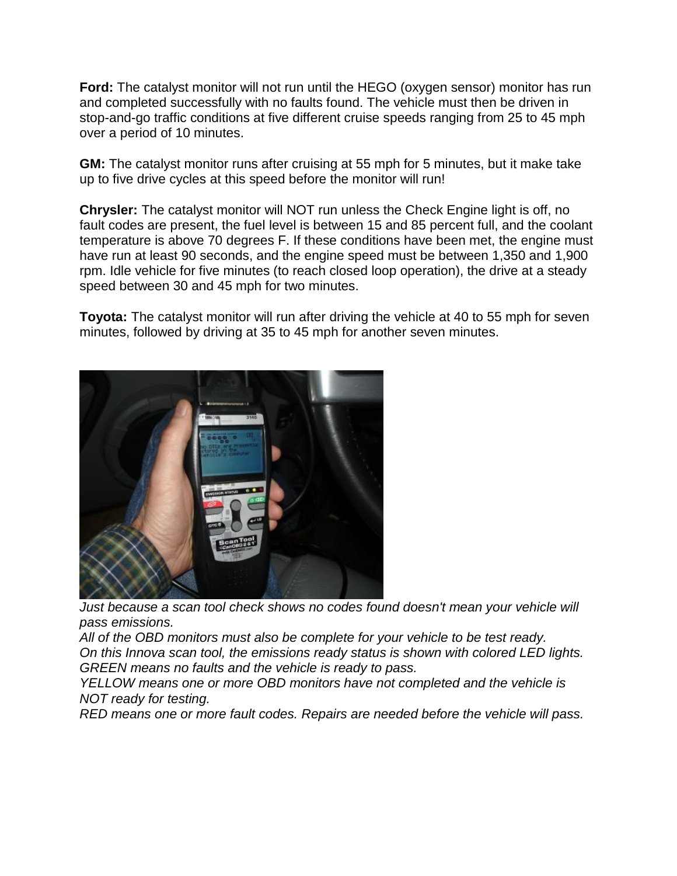**Ford:** The catalyst monitor will not run until the HEGO (oxygen sensor) monitor has run and completed successfully with no faults found. The vehicle must then be driven in stop-and-go traffic conditions at five different cruise speeds ranging from 25 to 45 mph over a period of 10 minutes.

**GM:** The catalyst monitor runs after cruising at 55 mph for 5 minutes, but it make take up to five drive cycles at this speed before the monitor will run!

**Chrysler:** The catalyst monitor will NOT run unless the Check Engine light is off, no fault codes are present, the fuel level is between 15 and 85 percent full, and the coolant temperature is above 70 degrees F. If these conditions have been met, the engine must have run at least 90 seconds, and the engine speed must be between 1,350 and 1,900 rpm. Idle vehicle for five minutes (to reach closed loop operation), the drive at a steady speed between 30 and 45 mph for two minutes.

**Toyota:** The catalyst monitor will run after driving the vehicle at 40 to 55 mph for seven minutes, followed by driving at 35 to 45 mph for another seven minutes.



*Just because a scan tool check shows no codes found doesn't mean your vehicle will pass emissions.*

*All of the OBD monitors must also be complete for your vehicle to be test ready. On this Innova scan tool, the emissions ready status is shown with colored LED lights. GREEN means no faults and the vehicle is ready to pass.*

*YELLOW means one or more OBD monitors have not completed and the vehicle is NOT ready for testing.*

*RED means one or more fault codes. Repairs are needed before the vehicle will pass.*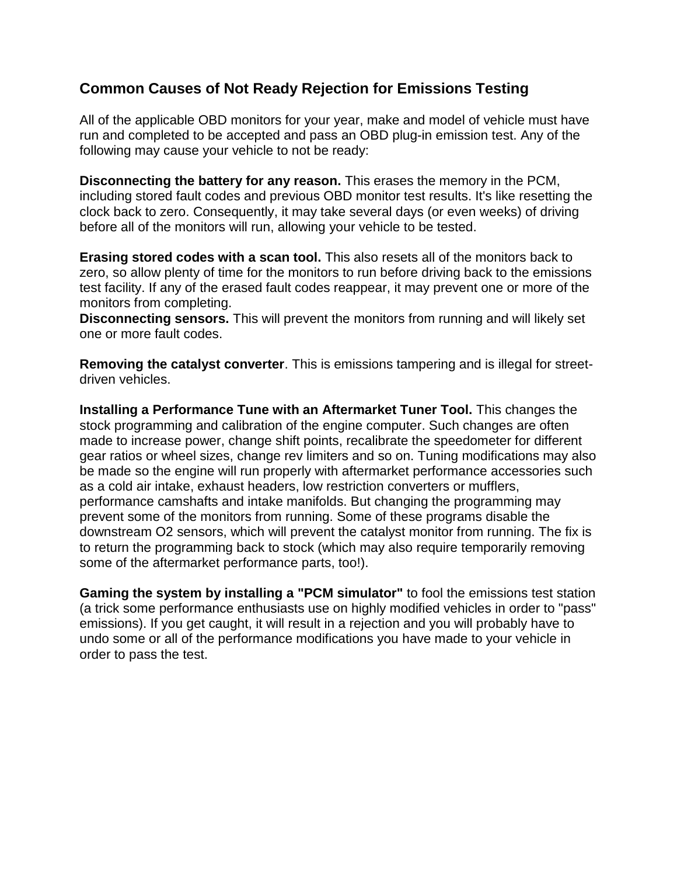#### **Common Causes of Not Ready Rejection for Emissions Testing**

All of the applicable OBD monitors for your year, make and model of vehicle must have run and completed to be accepted and pass an OBD plug-in emission test. Any of the following may cause your vehicle to not be ready:

**Disconnecting the battery for any reason.** This erases the memory in the PCM, including stored fault codes and previous OBD monitor test results. It's like resetting the clock back to zero. Consequently, it may take several days (or even weeks) of driving before all of the monitors will run, allowing your vehicle to be tested.

**Erasing stored codes with a scan tool.** This also resets all of the monitors back to zero, so allow plenty of time for the monitors to run before driving back to the emissions test facility. If any of the erased fault codes reappear, it may prevent one or more of the monitors from completing.

**Disconnecting sensors.** This will prevent the monitors from running and will likely set one or more fault codes.

**Removing the catalyst converter**. This is emissions tampering and is illegal for streetdriven vehicles.

**Installing a Performance Tune with an Aftermarket Tuner Tool.** This changes the stock programming and calibration of the engine computer. Such changes are often made to increase power, change shift points, recalibrate the speedometer for different gear ratios or wheel sizes, change rev limiters and so on. Tuning modifications may also be made so the engine will run properly with aftermarket performance accessories such as a cold air intake, exhaust headers, low restriction converters or mufflers, performance camshafts and intake manifolds. But changing the programming may prevent some of the monitors from running. Some of these programs disable the downstream O2 sensors, which will prevent the catalyst monitor from running. The fix is to return the programming back to stock (which may also require temporarily removing some of the aftermarket performance parts, too!).

**Gaming the system by installing a "PCM simulator"** to fool the emissions test station (a trick some performance enthusiasts use on highly modified vehicles in order to "pass" emissions). If you get caught, it will result in a rejection and you will probably have to undo some or all of the performance modifications you have made to your vehicle in order to pass the test.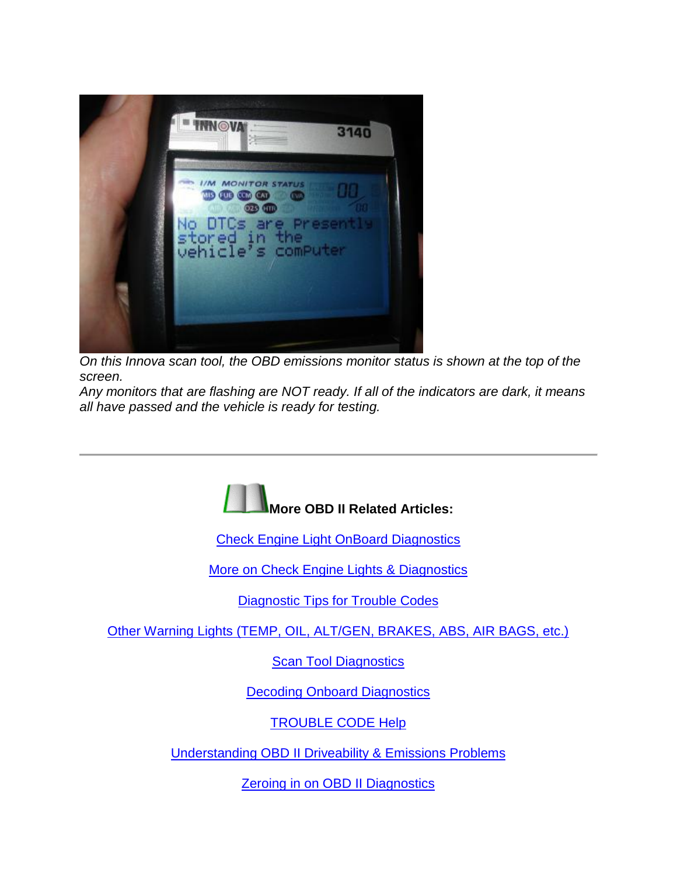

*On this Innova scan tool, the OBD emissions monitor status is shown at the top of the screen.* 

*Any monitors that are flashing are NOT ready. If all of the indicators are dark, it means all have passed and the vehicle is ready for testing.*



[Check Engine Light OnBoard Diagnostics](http://www.aa1car.com/library/mil.htm)

[More on Check Engine Lights & Diagnostics](http://www.aa1car.com/library/2003/cm70336.htm)

[Diagnostic Tips for Trouble Codes](http://www.aa1car.com/library/trouble_code.htm)

[Other Warning Lights \(TEMP, OIL, ALT/GEN, BRAKES, ABS, AIR BAGS, etc.\)](http://www.aa1car.com/library/warning_lights.htm)

**[Scan Tool Diagnostics](http://www.aa1car.com/library/2003/ic10318.htm)** 

**[Decoding Onboard Diagnostics](http://www.aa1car.com/library/cm40122.htm)** 

[TROUBLE CODE Help](http://www.trouble-codes.com/)

[Understanding OBD II Driveability & Emissions Problems](http://www.aa1car.com/library/ic50234.htm)

**[Zeroing in on OBD II Diagnostics](http://www.aa1car.com/library/ic10224.htm)**